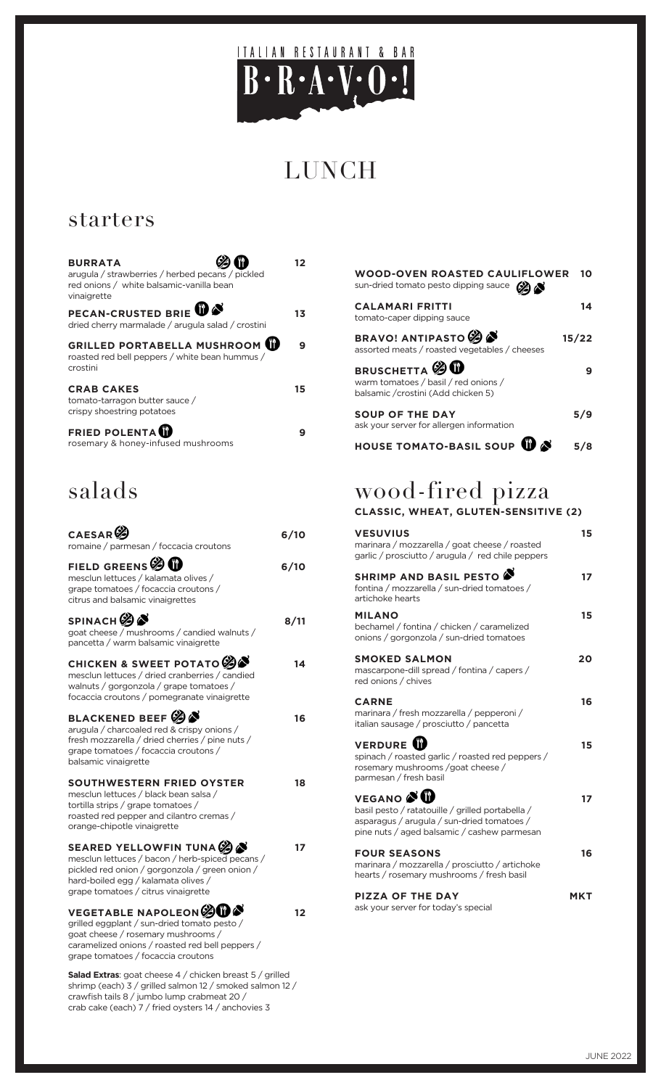

# LUNCH

## starters

| <b>BURRATA</b><br>arugula / strawberries / herbed pecans / pickled<br>red onions / white balsamic-vanilla bean<br>vinaigrette | 12 |
|-------------------------------------------------------------------------------------------------------------------------------|----|
| PECAN-CRUSTED BRIE <b>W</b><br>dried cherry marmalade / arugula salad / crostini                                              | 13 |
| <b>GRILLED PORTABELLA MUSHROOM</b><br>roasted red bell peppers / white bean hummus /<br>crostini                              | 9  |
| <b>CRAB CAKES</b><br>tomato-tarragon butter sauce /<br>crispy shoestring potatoes                                             | 15 |
| <b>FRIED POLENTA</b><br>rosemary & honey-infused mushrooms                                                                    | 9  |

## salads

| CAESAR <sup>C</sup><br>romaine / parmesan / foccacia croutons                                                                                                                                                | 6/10 |
|--------------------------------------------------------------------------------------------------------------------------------------------------------------------------------------------------------------|------|
| FIELD GREENS $\mathscr{D}$ <b>1</b><br>mesclun lettuces / kalamata olives /<br>grape tomatoes / focaccia croutons /<br>citrus and balsamic vinaigrettes                                                      | 6/10 |
| SPINACH <b>O</b><br>goat cheese / mushrooms / candied walnuts /<br>pancetta / warm balsamic vinaigrette                                                                                                      | 8/11 |
| CHICKEN & SWEET POTATO 2<br>mesclun lettuces / dried cranberries / candied<br>walnuts / gorgonzola / grape tomatoes /<br>focaccia croutons / pomegranate vinaigrette                                         | 14   |
| BLACKENED BEEF $\mathscr{B}$<br>arugula / charcoaled red & crispy onions /<br>fresh mozzarella / dried cherries / pine nuts /<br>grape tomatoes / focaccia croutons /<br>balsamic vinaigrette                | 16   |
| SOUTHWESTERN FRIED OYSTER<br>mesclun lettuces / black bean salsa /<br>tortilla strips / grape tomatoes /<br>roasted red pepper and cilantro cremas /<br>orange-chipotle vinaigrette                          | 18   |
| SEARED YELLOWFIN TUNA 3<br>mesclun lettuces / bacon / herb-spiced pecans /<br>pickled red onion / gorgonzola / green onion /<br>hard-boiled egg / kalamata olives /<br>grape tomatoes / citrus vinaigrette   | 17   |
| <b>VEGETABLE NAPOLEON SUBS</b><br>grilled eggplant / sun-dried tomato pesto /<br>goat cheese / rosemary mushrooms /<br>caramelized onions / roasted red bell peppers /<br>grape tomatoes / focaccia croutons | 12   |
| Salad Extras: goat cheese 4 / chicken breast 5 / grilled                                                                                                                                                     |      |

shrimp (each) 3 / grilled salmon 12 / smoked salmon 12 / crawfish tails 8 / jumbo lump crabmeat 20 / crab cake (each) 7 / fried oysters 14 / anchovies 3

| <b>WOOD-OVEN ROASTED CAULIFLOWER</b><br>sun-dried tomato pesto dipping sauce (%)                    | 10    |
|-----------------------------------------------------------------------------------------------------|-------|
| <b>CALAMARI FRITTI</b><br>tomato-caper dipping sauce                                                | 14    |
| <b>BRAVO! ANTIPASTO</b><br>assorted meats / roasted vegetables / cheeses                            | 15/22 |
| <b>BRUSCHETTA</b> 20<br>warm tomatoes / basil / red onions /<br>balsamic / crostini (Add chicken 5) |       |
| <b>SOUP OF THE DAY</b><br>ask your server for allergen information                                  | 5/9   |
| <b>HOUSE TOMATO-BASIL SOUP</b>                                                                      |       |

#### wood-fired pizza **CLASSIC, WHEAT, GLUTEN-SENSITIVE (2)**

| <b>VESUVIUS</b><br>marinara / mozzarella / goat cheese / roasted<br>garlic / prosciutto / arugula / red chile peppers                                                | 15  |
|----------------------------------------------------------------------------------------------------------------------------------------------------------------------|-----|
| SHRIMP AND BASIL PESTO<br>fontina / mozzarella / sun-dried tomatoes /<br>artichoke hearts                                                                            | 17  |
| <b>MILANO</b><br>bechamel / fontina / chicken / caramelized<br>onions / gorgonzola / sun-dried tomatoes                                                              | 15  |
| <b>SMOKED SALMON</b><br>mascarpone-dill spread / fontina / capers /<br>red onions / chives                                                                           | 20  |
| <b>CARNE</b><br>marinara / fresh mozzarella / pepperoni /<br>italian sausage / prosciutto / pancetta                                                                 | 16  |
| <b>VERDURE</b><br>spinach / roasted garlic / roasted red peppers /<br>rosemary mushrooms / goat cheese /<br>parmesan / fresh basil                                   | 15  |
| VEGANO <sup>S</sup><br>basil pesto / ratatouille / grilled portabella /<br>asparagus / arugula / sun-dried tomatoes /<br>pine nuts / aged balsamic / cashew parmesan | 17  |
| <b>FOUR SEASONS</b><br>marinara / mozzarella / prosciutto / artichoke<br>hearts / rosemary mushrooms / fresh basil                                                   | 16  |
| <b>PIZZA OF THE DAY</b><br>ask your server for today's special                                                                                                       | MKT |